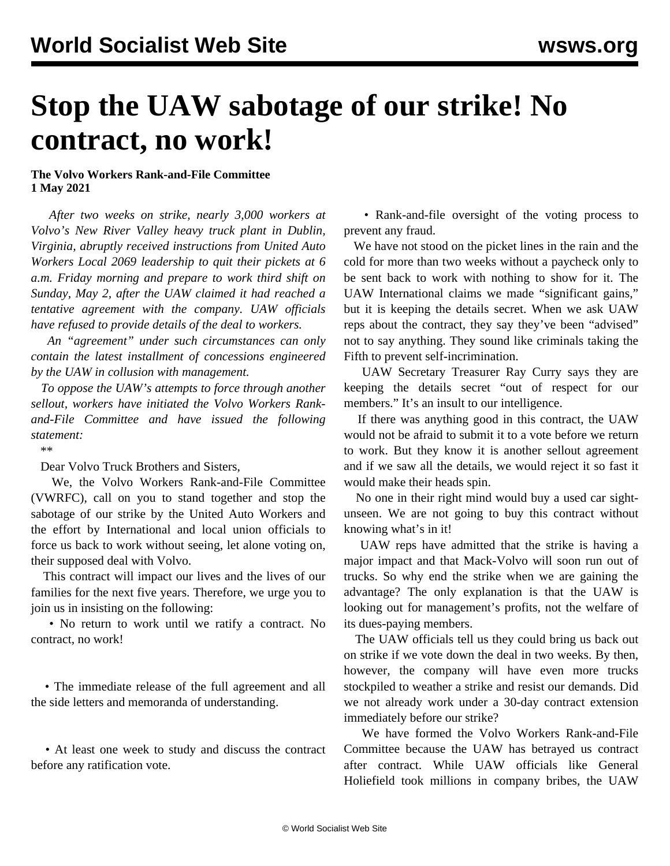## **Stop the UAW sabotage of our strike! No contract, no work!**

## **The Volvo Workers Rank-and-File Committee 1 May 2021**

 *After two weeks on strike, nearly 3,000 workers at Volvo's New River Valley heavy truck plant in Dublin, Virginia, abruptly received instructions from United Auto Workers Local 2069 leadership to quit their pickets at 6 a.m. Friday morning and prepare to work third shift on Sunday, May 2, after the UAW claimed it had reached a tentative agreement with the company. UAW officials have refused to provide details of the deal to workers.*

 *An "agreement" under such circumstances can only contain the latest installment of concessions engineered by the UAW in collusion with management.*

 *To oppose the UAW's attempts to force through another sellout, workers have initiated the Volvo Workers Rankand-File Committee and have issued the following statement:*

\*\*

Dear Volvo Truck Brothers and Sisters,

 We, the Volvo Workers Rank-and-File Committee (VWRFC), call on you to stand together and stop the sabotage of our strike by the United Auto Workers and the effort by International and local union officials to force us back to work without seeing, let alone voting on, their supposed deal with Volvo.

 This contract will impact our lives and the lives of our families for the next five years. Therefore, we urge you to join us in insisting on the following:

 • No return to work until we ratify a contract. No contract, no work!

 • The immediate release of the full agreement and all the side letters and memoranda of understanding.

 • At least one week to study and discuss the contract before any ratification vote.

 • Rank-and-file oversight of the voting process to prevent any fraud.

 We have not stood on the picket lines in the rain and the cold for more than two weeks without a paycheck only to be sent back to work with nothing to show for it. The UAW International claims we made "significant gains," but it is keeping the details secret. When we ask UAW reps about the contract, they say they've been "advised" not to say anything. They sound like criminals taking the Fifth to prevent self-incrimination.

 UAW Secretary Treasurer Ray Curry says they are keeping the details secret "out of respect for our members." It's an insult to our intelligence.

 If there was anything good in this contract, the UAW would not be afraid to submit it to a vote before we return to work. But they know it is another sellout agreement and if we saw all the details, we would reject it so fast it would make their heads spin.

 No one in their right mind would buy a used car sightunseen. We are not going to buy this contract without knowing what's in it!

 UAW reps have admitted that the strike is having a major impact and that Mack-Volvo will soon run out of trucks. So why end the strike when we are gaining the advantage? The only explanation is that the UAW is looking out for management's profits, not the welfare of its dues-paying members.

 The UAW officials tell us they could bring us back out on strike if we vote down the deal in two weeks. By then, however, the company will have even more trucks stockpiled to weather a strike and resist our demands. Did we not already work under a 30-day contract extension immediately before our strike?

 We have formed the Volvo Workers Rank-and-File Committee because the UAW has betrayed us contract after contract. While UAW officials like General Holiefield took millions in company bribes, the UAW